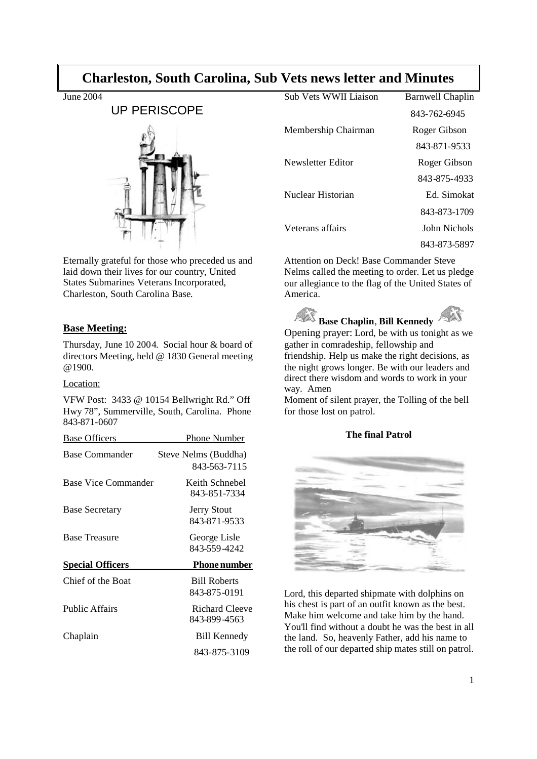# **Charleston, South Carolina, Sub Vets news letter and Minutes**

June 2004

# UP PERISCOPE



Eternally grateful for those who preceded us and laid down their lives for our country, United States Submarines Veterans Incorporated, Charleston, South Carolina Base.

## **Base Meeting:**

Thursday, June 10 2004. Social hour & board of directors Meeting, held @ 1830 General meeting @1900.

## Location:

VFW Post: 3433 @ 10154 Bellwright Rd." Off Hwy 78", Summerville, South, Carolina. Phone 843-871-0607

| <b>Base Officers</b>    | Phone Number                         |
|-------------------------|--------------------------------------|
| Base Commander          | Steve Nelms (Buddha)<br>843-563-7115 |
| Base Vice Commander     | Keith Schnebel<br>843-851-7334       |
| <b>Base Secretary</b>   | <b>Jerry Stout</b><br>843-871-9533   |
| <b>Base Treasure</b>    | George Lisle<br>843-559-4242         |
| <b>Special Officers</b> | <b>Phone number</b>                  |
| Chief of the Boat       | <b>Bill Roberts</b><br>843-875-0191  |
| <b>Public Affairs</b>   | Richard Cleeve<br>843-899-4563       |
| Chaplain                | <b>Bill Kennedy</b>                  |
|                         | 843-875-3109                         |

| Sub Vets WWII Liaison | <b>Barnwell Chaplin</b> |
|-----------------------|-------------------------|
|                       | 843-762-6945            |
| Membership Chairman   | Roger Gibson            |
|                       | 843-871-9533            |
| Newsletter Editor     | Roger Gibson            |
|                       | 843-875-4933            |
| Nuclear Historian     | Ed. Simokat             |
|                       | 843-873-1709            |
| Veterans affairs      | John Nichols            |
|                       | 843-873-5897            |

Attention on Deck! Base Commander Steve Nelms called the meeting to order. Let us pledge our allegiance to the flag of the United States of America.



Opening prayer: Lord, be with us tonight as we gather in comradeship, fellowship and friendship. Help us make the right decisions, as the night grows longer. Be with our leaders and direct there wisdom and words to work in your way. Amen

Moment of silent prayer, the Tolling of the bell for those lost on patrol.

## **The final Patrol**



Lord, this departed shipmate with dolphins on his chest is part of an outfit known as the best. Make him welcome and take him by the hand. You'll find without a doubt he was the best in all the land. So, heavenly Father, add his name to the roll of our departed ship mates still on patrol.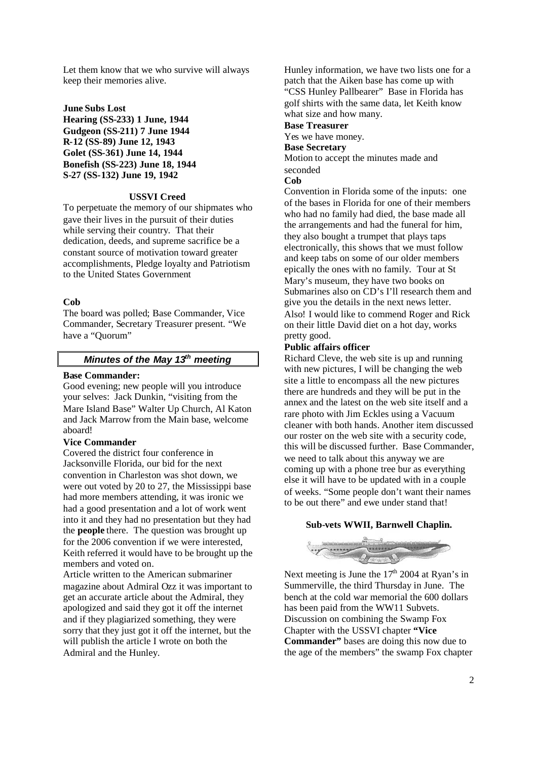Let them know that we who survive will always keep their memories alive.

**June Subs Lost Hearing (SS-233) 1 June, 1944 Gudgeon (SS-211) 7 June 1944 R-12 (SS-89) June 12, 1943 Golet (SS-361) June 14, 1944 Bonefish (SS-223) June 18, 1944 S-27 (SS-132) June 19, 1942**

#### **USSVI Creed**

To perpetuate the memory of our shipmates who gave their lives in the pursuit of their duties while serving their country. That their dedication, deeds, and supreme sacrifice be a constant source of motivation toward greater accomplishments, Pledge loyalty and Patriotism to the United States Government

#### **Cob**

The board was polled; Base Commander, Vice Commander, Secretary Treasurer present. "We have a "Quorum"

# *Minutes of the May 13th meeting*

#### **Base Commander:**

Good evening; new people will you introduce your selves: Jack Dunkin, "visiting from the Mare Island Base" Walter Up Church, Al Katon and Jack Marrow from the Main base, welcome aboard!

## **Vice Commander**

Covered the district four conference in Jacksonville Florida, our bid for the next convention in Charleston was shot down, we were out voted by 20 to 27, the Mississippi base had more members attending, it was ironic we had a good presentation and a lot of work went into it and they had no presentation but they had the **people** there. The question was brought up for the 2006 convention if we were interested, Keith referred it would have to be brought up the members and voted on.

Article written to the American submariner magazine about Admiral Ozz it was important to get an accurate article about the Admiral, they apologized and said they got it off the internet and if they plagiarized something, they were sorry that they just got it off the internet, but the will publish the article I wrote on both the Admiral and the Hunley.

Hunley information, we have two lists one for a patch that the Aiken base has come up with "CSS Hunley Pallbearer" Base in Florida has golf shirts with the same data, let Keith know what size and how many.

**Base Treasurer** Yes we have money. **Base Secretary** Motion to accept the minutes made and seconded

**Cob**

Convention in Florida some of the inputs: one of the bases in Florida for one of their members who had no family had died, the base made all the arrangements and had the funeral for him, they also bought a trumpet that plays taps electronically, this shows that we must follow and keep tabs on some of our older members epically the ones with no family. Tour at St Mary's museum, they have two books on Submarines also on CD's I'll research them and give you the details in the next news letter. Also! I would like to commend Roger and Rick on their little David diet on a hot day, works pretty good.

#### **Public affairs officer**

Richard Cleve, the web site is up and running with new pictures, I will be changing the web site a little to encompass all the new pictures there are hundreds and they will be put in the annex and the latest on the web site itself and a rare photo with Jim Eckles using a Vacuum cleaner with both hands. Another item discussed our roster on the web site with a security code, this will be discussed further. Base Commander, we need to talk about this anyway we are coming up with a phone tree bur as everything else it will have to be updated with in a couple of weeks. "Some people don't want their names to be out there" and ewe under stand that!

#### **Sub-vets WWII, Barnwell Chaplin.**



Next meeting is June the  $17<sup>th</sup>$  2004 at Ryan's in Summerville, the third Thursday in June. The bench at the cold war memorial the 600 dollars has been paid from the WW11 Subvets. Discussion on combining the Swamp Fox Chapter with the USSVI chapter **"Vice Commander"** bases are doing this now due to the age of the members" the swamp Fox chapter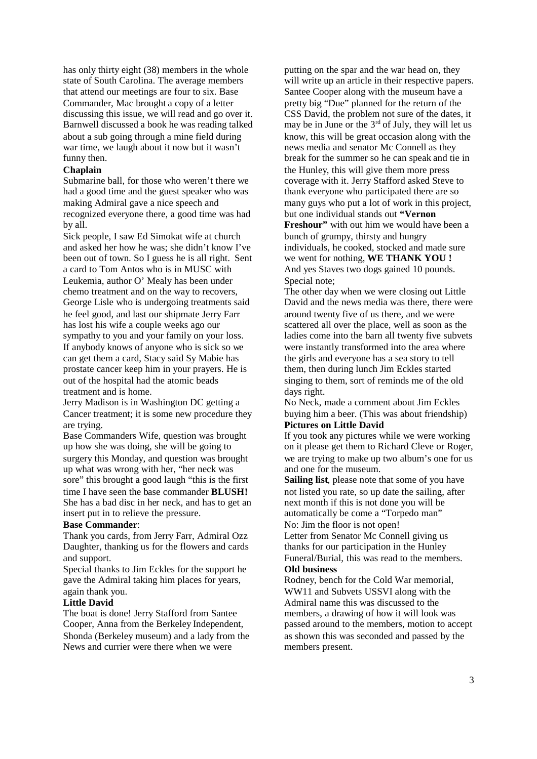has only thirty eight (38) members in the whole state of South Carolina. The average members that attend our meetings are four to six. Base Commander, Mac brought a copy of a letter discussing this issue, we will read and go over it. Barnwell discussed a book he was reading talked about a sub going through a mine field during war time, we laugh about it now but it wasn't funny then.

#### **Chaplain**

Submarine ball, for those who weren't there we had a good time and the guest speaker who was making Admiral gave a nice speech and recognized everyone there, a good time was had by all.

Sick people, I saw Ed Simokat wife at church and asked her how he was; she didn't know I've been out of town. So I guess he is all right. Sent a card to Tom Antos who is in MUSC with Leukemia, author O' Mealy has been under chemo treatment and on the way to recovers, George Lisle who is undergoing treatments said he feel good, and last our shipmate Jerry Farr has lost his wife a couple weeks ago our sympathy to you and your family on your loss. If anybody knows of anyone who is sick so we can get them a card, Stacy said Sy Mabie has prostate cancer keep him in your prayers. He is out of the hospital had the atomic beads treatment and is home.

Jerry Madison is in Washington DC getting a Cancer treatment; it is some new procedure they are trying.

Base Commanders Wife, question was brought up how she was doing, she will be going to surgery this Monday, and question was brought up what was wrong with her, "her neck was sore" this brought a good laugh "this is the first time I have seen the base commander **BLUSH!** She has a bad disc in her neck, and has to get an insert put in to relieve the pressure.

#### **Base Commander**:

Thank you cards, from Jerry Farr, Admiral Ozz Daughter, thanking us for the flowers and cards and support.

Special thanks to Jim Eckles for the support he gave the Admiral taking him places for years, again thank you.

#### **Little David**

The boat is done! Jerry Stafford from Santee Cooper, Anna from the Berkeley Independent, Shonda (Berkeley museum) and a lady from the News and currier were there when we were

putting on the spar and the war head on, they will write up an article in their respective papers. Santee Cooper along with the museum have a pretty big "Due" planned for the return of the CSS David, the problem not sure of the dates, it may be in June or the  $3<sup>rd</sup>$  of July, they will let us know, this will be great occasion along with the news media and senator Mc Connell as they break for the summer so he can speak and tie in the Hunley, this will give them more press coverage with it. Jerry Stafford asked Steve to thank everyone who participated there are so many guys who put a lot of work in this project, but one individual stands out **"Vernon**

**Freshour"** with out him we would have been a bunch of grumpy, thirsty and hungry individuals, he cooked, stocked and made sure we went for nothing, **WE THANK YOU !** And yes Staves two dogs gained 10 pounds. Special note;

The other day when we were closing out Little David and the news media was there, there were around twenty five of us there, and we were scattered all over the place, well as soon as the ladies come into the barn all twenty five subvets were instantly transformed into the area where the girls and everyone has a sea story to tell them, then during lunch Jim Eckles started singing to them, sort of reminds me of the old days right.

No Neck, made a comment about Jim Eckles buying him a beer. (This was about friendship) **Pictures on Little David**

If you took any pictures while we were working on it please get them to Richard Cleve or Roger, we are trying to make up two album's one for us and one for the museum.

**Sailing list**, please note that some of you have not listed you rate, so up date the sailing, after next month if this is not done you will be automatically be come a "Torpedo man"

No: Jim the floor is not open!

Letter from Senator Mc Connell giving us thanks for our participation in the Hunley Funeral/Burial, this was read to the members. **Old business**

Rodney, bench for the Cold War memorial, WW11 and Subvets USSVI along with the Admiral name this was discussed to the members, a drawing of how it will look was passed around to the members, motion to accept as shown this was seconded and passed by the members present.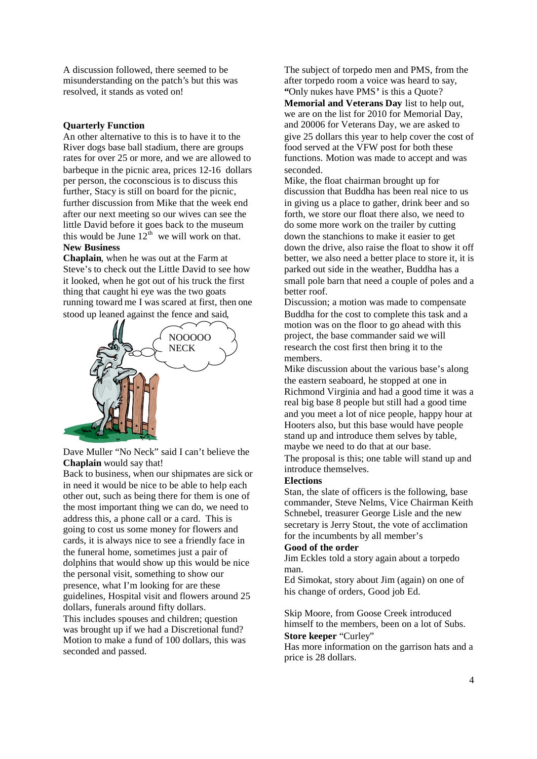A discussion followed, there seemed to be misunderstanding on the patch's but this was resolved, it stands as voted on!

#### **Quarterly Function**

An other alternative to this is to have it to the River dogs base ball stadium, there are groups rates for over 25 or more, and we are allowed to barbeque in the picnic area, prices 12-16 dollars per person, the coconscious is to discuss this further, Stacy is still on board for the picnic, further discussion from Mike that the week end after our next meeting so our wives can see the little David before it goes back to the museum this would be June  $12^{th}$  we will work on that. **New Business**

**Chaplain**, when he was out at the Farm at Steve's to check out the Little David to see how it looked, when he got out of his truck the first thing that caught hi eye was the two goats running toward me I was scared at first, then one stood up leaned against the fence and said,



Dave Muller "No Neck" said I can't believe the **Chaplain** would say that!

Back to business, when our shipmates are sick or in need it would be nice to be able to help each other out, such as being there for them is one of the most important thing we can do, we need to address this, a phone call or a card. This is going to cost us some money for flowers and cards, it is always nice to see a friendly face in the funeral home, sometimes just a pair of dolphins that would show up this would be nice the personal visit, something to show our presence, what I'm looking for are these guidelines, Hospital visit and flowers around 25 dollars, funerals around fifty dollars. This includes spouses and children; question was brought up if we had a Discretional fund? Motion to make a fund of 100 dollars, this was seconded and passed.

The subject of torpedo men and PMS, from the after torpedo room a voice was heard to say, **"**Only nukes have PMS**'** is this a Quote? **Memorial and Veterans Day** list to help out, we are on the list for 2010 for Memorial Day, and 20006 for Veterans Day, we are asked to give 25 dollars this year to help cover the cost of food served at the VFW post for both these functions. Motion was made to accept and was seconded.

Mike, the float chairman brought up for discussion that Buddha has been real nice to us in giving us a place to gather, drink beer and so forth, we store our float there also, we need to do some more work on the trailer by cutting down the stanchions to make it easier to get down the drive, also raise the float to show it off better, we also need a better place to store it, it is parked out side in the weather, Buddha has a small pole barn that need a couple of poles and a better roof.

Discussion; a motion was made to compensate Buddha for the cost to complete this task and a motion was on the floor to go ahead with this project, the base commander said we will research the cost first then bring it to the members.

Mike discussion about the various base's along the eastern seaboard, he stopped at one in Richmond Virginia and had a good time it was a real big base 8 people but still had a good time and you meet a lot of nice people, happy hour at Hooters also, but this base would have people stand up and introduce them selves by table, maybe we need to do that at our base. The proposal is this; one table will stand up and introduce themselves.

#### **Elections**

Stan, the slate of officers is the following, base commander, Steve Nelms, Vice Chairman Keith Schnebel, treasurer George Lisle and the new secretary is Jerry Stout, the vote of acclimation for the incumbents by all member's

## **Good of the order**

Jim Eckles told a story again about a torpedo man.

Ed Simokat, story about Jim (again) on one of his change of orders, Good job Ed.

Skip Moore, from Goose Creek introduced himself to the members, been on a lot of Subs. **Store keeper** "Curley"

Has more information on the garrison hats and a price is 28 dollars.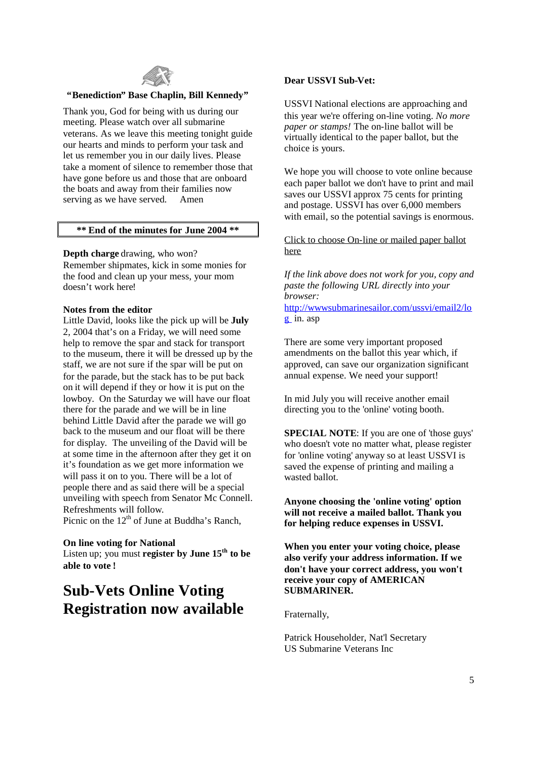

#### **"Benediction" Base Chaplin, Bill Kennedy"**

Thank you, God for being with us during our meeting. Please watch over all submarine veterans. As we leave this meeting tonight guide our hearts and minds to perform your task and let us remember you in our daily lives. Please take a moment of silence to remember those that have gone before us and those that are onboard the boats and away from their families now serving as we have served. Amen

#### **\*\* End of the minutes for June 2004 \*\***

#### **Depth charge** drawing, who won?

Remember shipmates, kick in some monies for the food and clean up your mess, your mom doesn't work here!

#### **Notes from the editor**

Little David, looks like the pick up will be **July** 2, 2004 that's on a Friday, we will need some help to remove the spar and stack for transport to the museum, there it will be dressed up by the staff, we are not sure if the spar will be put on for the parade, but the stack has to be put back on it will depend if they or how it is put on the lowboy. On the Saturday we will have our float there for the parade and we will be in line behind Little David after the parade we will go back to the museum and our float will be there for display. The unveiling of the David will be at some time in the afternoon after they get it on it's foundation as we get more information we will pass it on to you. There will be a lot of people there and as said there will be a special unveiling with speech from Senator Mc Connell. Refreshments will follow.

Picnic on the  $12<sup>th</sup>$  of June at Buddha's Ranch,

## **On line voting for National**

Listen up; you must **register by June 15th to be able to vote !**

# **Sub-Vets Online Voting Registration now available**

#### **Dear USSVI Sub-Vet:**

USSVI National elections are approaching and this year we're offering on-line voting. *No more paper or stamps!* The on-line ballot will be virtually identical to the paper ballot, but the choice is yours.

We hope you will choose to vote online because each paper ballot we don't have to print and mail saves our USSVI approx 75 cents for printing and postage. USSVI has over 6,000 members with email, so the potential savings is enormous.

Click to choose On-line or mailed paper ballot here

*If the link above does not work for you, copy and paste the following URL directly into your browser:*

http://wwwsubmarinesailor.com/ussvi/email2/lo g in. asp

There are some very important proposed amendments on the ballot this year which, if approved, can save our organization significant annual expense. We need your support!

In mid July you will receive another email directing you to the 'online' voting booth.

**SPECIAL NOTE**: If you are one of 'those guys' who doesn't vote no matter what, please register for 'online voting' anyway so at least USSVI is saved the expense of printing and mailing a wasted ballot.

**Anyone choosing the 'online voting' option will not receive a mailed ballot. Thank you for helping reduce expenses in USSVI.**

**When you enter your voting choice, please also verify your address information. If we don't have your correct address, you won't receive your copy of AMERICAN SUBMARINER.**

Fraternally,

Patrick Householder, Nat'l Secretary US Submarine Veterans Inc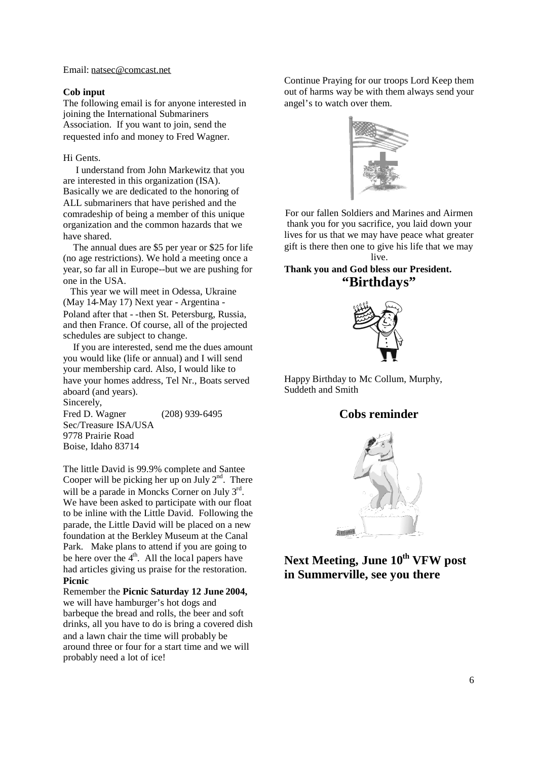Email: natsec@comcast.net

#### **Cob input**

The following email is for anyone interested in joining the International Submariners Association. If you want to join, send the requested info and money to Fred Wagner.

#### Hi Gents.

I understand from John Markewitz that you are interested in this organization (ISA). Basically we are dedicated to the honoring of ALL submariners that have perished and the comradeship of being a member of this unique organization and the common hazards that we have shared.

The annual dues are \$5 per year or \$25 for life (no age restrictions). We hold a meeting once a year, so far all in Europe--but we are pushing for one in the USA.

This year we will meet in Odessa, Ukraine (May 14-May 17) Next year - Argentina - Poland after that - -then St. Petersburg, Russia, and then France. Of course, all of the projected schedules are subject to change.

If you are interested, send me the dues amount you would like (life or annual) and I will send your membership card. Also, I would like to have your homes address, Tel Nr., Boats served aboard (and years). Sincerely,

Fred D. Wagner (208) 939-6495 Sec/Treasure ISA/USA 9778 Prairie Road Boise, Idaho 83714

The little David is 99.9% complete and Santee Cooper will be picking her up on July  $2<sup>nd</sup>$ . There will be a parade in Moncks Corner on July 3<sup>rd</sup>. We have been asked to participate with our float to be inline with the Little David. Following the parade, the Little David will be placed on a new foundation at the Berkley Museum at the Canal Park. Make plans to attend if you are going to be here over the  $4<sup>th</sup>$ . All the local papers have had articles giving us praise for the restoration. **Picnic**

Remember the **Picnic Saturday 12 June 2004,** we will have hamburger's hot dogs and barbeque the bread and rolls, the beer and soft drinks, all you have to do is bring a covered dish and a lawn chair the time will probably be around three or four for a start time and we will probably need a lot of ice!

Continue Praying for our troops Lord Keep them out of harms way be with them always send your angel's to watch over them.



For our fallen Soldiers and Marines and Airmen thank you for you sacrifice, you laid down your lives for us that we may have peace what greater gift is there then one to give his life that we may live.

# **Thank you and God bless our President. "Birthdays"**



Happy Birthday to Mc Collum, Murphy, Suddeth and Smith

# **Cobs reminder**



**Next Meeting, June 10th VFW post in Summerville, see you there**